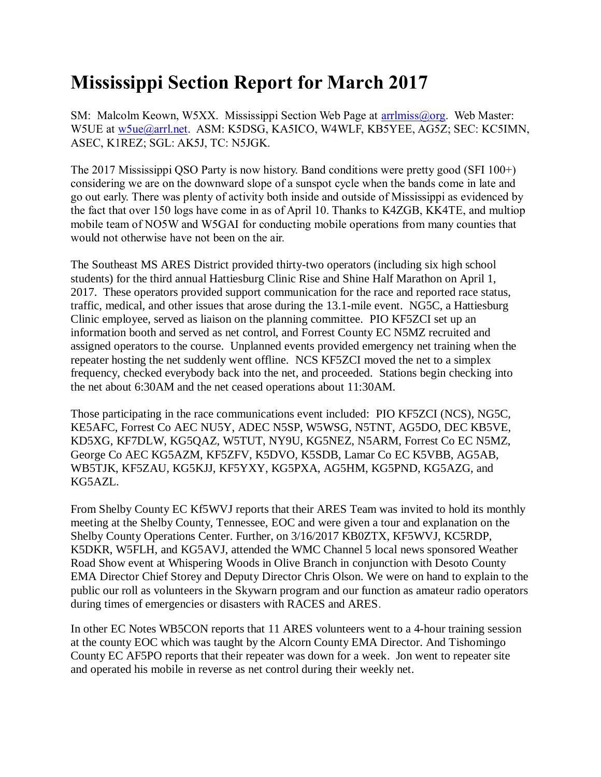## **Mississippi Section Report for March 2017**

SM: Malcolm Keown, W5XX. Mississippi Section Web Page at [arrlmiss@org.](mailto:arrlmiss@org) Web Master: W5UE at [w5ue@arrl.net.](mailto:w5ue@arrl.net) ASM: K5DSG, KA5ICO, W4WLF, KB5YEE, AG5Z; SEC: KC5IMN, ASEC, K1REZ; SGL: AK5J, TC: N5JGK.

The 2017 Mississippi QSO Party is now history. Band conditions were pretty good (SFI 100+) considering we are on the downward slope of a sunspot cycle when the bands come in late and go out early. There was plenty of activity both inside and outside of Mississippi as evidenced by the fact that over 150 logs have come in as of April 10. Thanks to K4ZGB, KK4TE, and multiop mobile team of NO5W and W5GAI for conducting mobile operations from many counties that would not otherwise have not been on the air.

The Southeast MS ARES District provided thirty-two operators (including six high school students) for the third annual Hattiesburg Clinic Rise and Shine Half Marathon on April 1, 2017. These operators provided support communication for the race and reported race status, traffic, medical, and other issues that arose during the 13.1-mile event. NG5C, a Hattiesburg Clinic employee, served as liaison on the planning committee. PIO KF5ZCI set up an information booth and served as net control, and Forrest County EC N5MZ recruited and assigned operators to the course. Unplanned events provided emergency net training when the repeater hosting the net suddenly went offline. NCS KF5ZCI moved the net to a simplex frequency, checked everybody back into the net, and proceeded. Stations begin checking into the net about 6:30AM and the net ceased operations about 11:30AM.

Those participating in the race communications event included: PIO KF5ZCI (NCS), NG5C, KE5AFC, Forrest Co AEC NU5Y, ADEC N5SP, W5WSG, N5TNT, AG5DO, DEC KB5VE, KD5XG, KF7DLW, KG5QAZ, W5TUT, NY9U, KG5NEZ, N5ARM, Forrest Co EC N5MZ, George Co AEC KG5AZM, KF5ZFV, K5DVO, K5SDB, Lamar Co EC K5VBB, AG5AB, WB5TJK, KF5ZAU, KG5KJJ, KF5YXY, KG5PXA, AG5HM, KG5PND, KG5AZG, and KG5AZL.

From Shelby County EC Kf5WVJ reports that their ARES Team was invited to hold its monthly meeting at the Shelby County, Tennessee, EOC and were given a tour and explanation on the Shelby County Operations Center. Further, on 3/16/2017 KB0ZTX, KF5WVJ, KC5RDP, K5DKR, W5FLH, and KG5AVJ, attended the WMC Channel 5 local news sponsored Weather Road Show event at Whispering Woods in Olive Branch in conjunction with Desoto County EMA Director Chief Storey and Deputy Director Chris Olson. We were on hand to explain to the public our roll as volunteers in the Skywarn program and our function as amateur radio operators during times of emergencies or disasters with RACES and ARES.

In other EC Notes WB5CON reports that 11 ARES volunteers went to a 4-hour training session at the county EOC which was taught by the Alcorn County EMA Director. And Tishomingo County EC AF5PO reports that their repeater was down for a week. Jon went to repeater site and operated his mobile in reverse as net control during their weekly net.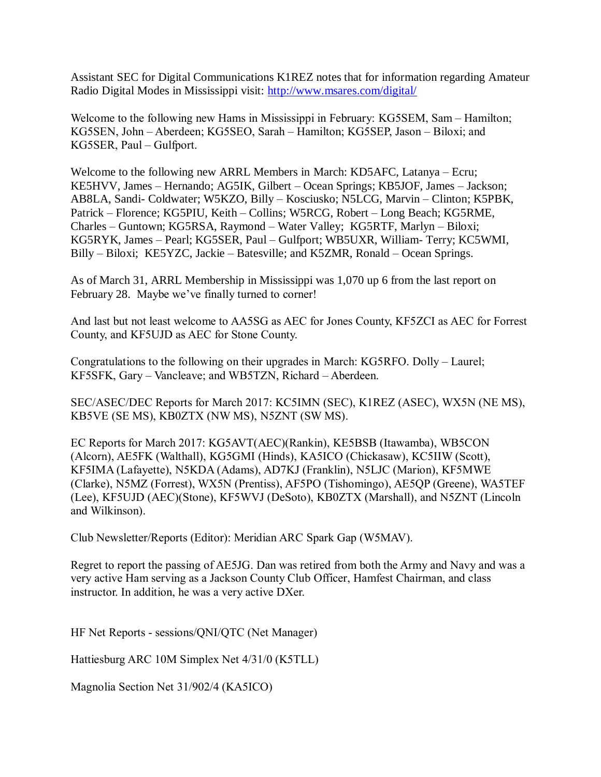Assistant SEC for Digital Communications K1REZ notes that for information regarding Amateur Radio Digital Modes in Mississippi visit:<http://www.msares.com/digital/>

Welcome to the following new Hams in Mississippi in February: KG5SEM, Sam – Hamilton; KG5SEN, John – Aberdeen; KG5SEO, Sarah – Hamilton; KG5SEP, Jason – Biloxi; and KG5SER, Paul – Gulfport.

Welcome to the following new ARRL Members in March: KD5AFC, Latanya – Ecru; KE5HVV, James – Hernando; AG5IK, Gilbert – Ocean Springs; KB5JOF, James – Jackson; AB8LA, Sandi- Coldwater; W5KZO, Billy – Kosciusko; N5LCG, Marvin – Clinton; K5PBK, Patrick – Florence; KG5PIU, Keith – Collins; W5RCG, Robert – Long Beach; KG5RME, Charles – Guntown; KG5RSA, Raymond – Water Valley; KG5RTF, Marlyn – Biloxi; KG5RYK, James – Pearl; KG5SER, Paul – Gulfport; WB5UXR, William- Terry; KC5WMI, Billy – Biloxi; KE5YZC, Jackie – Batesville; and K5ZMR, Ronald – Ocean Springs.

As of March 31, ARRL Membership in Mississippi was 1,070 up 6 from the last report on February 28. Maybe we've finally turned to corner!

And last but not least welcome to AA5SG as AEC for Jones County, KF5ZCI as AEC for Forrest County, and KF5UJD as AEC for Stone County.

Congratulations to the following on their upgrades in March: KG5RFO. Dolly – Laurel; KF5SFK, Gary – Vancleave; and WB5TZN, Richard – Aberdeen.

SEC/ASEC/DEC Reports for March 2017: KC5IMN (SEC), K1REZ (ASEC), WX5N (NE MS), KB5VE (SE MS), KB0ZTX (NW MS), N5ZNT (SW MS).

EC Reports for March 2017: KG5AVT(AEC)(Rankin), KE5BSB (Itawamba), WB5CON (Alcorn), AE5FK (Walthall), KG5GMI (Hinds), KA5ICO (Chickasaw), KC5IIW (Scott), KF5IMA (Lafayette), N5KDA (Adams), AD7KJ (Franklin), N5LJC (Marion), KF5MWE (Clarke), N5MZ (Forrest), WX5N (Prentiss), AF5PO (Tishomingo), AE5QP (Greene), WA5TEF (Lee), KF5UJD (AEC)(Stone), KF5WVJ (DeSoto), KB0ZTX (Marshall), and N5ZNT (Lincoln and Wilkinson).

Club Newsletter/Reports (Editor): Meridian ARC Spark Gap (W5MAV).

Regret to report the passing of AE5JG. Dan was retired from both the Army and Navy and was a very active Ham serving as a Jackson County Club Officer, Hamfest Chairman, and class instructor. In addition, he was a very active DXer.

HF Net Reports - sessions/QNI/QTC (Net Manager)

Hattiesburg ARC 10M Simplex Net 4/31/0 (K5TLL)

Magnolia Section Net 31/902/4 (KA5ICO)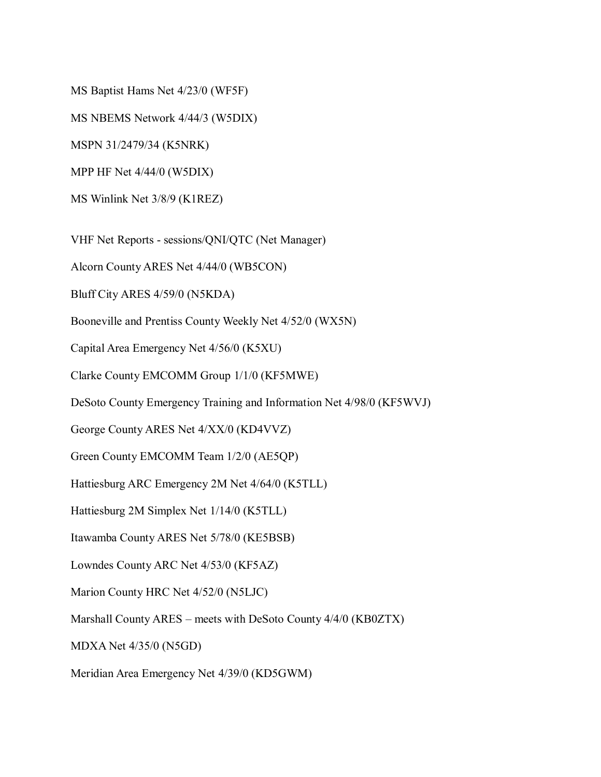MS Baptist Hams Net 4/23/0 (WF5F)

MS NBEMS Network 4/44/3 (W5DIX)

MSPN 31/2479/34 (K5NRK)

MPP HF Net 4/44/0 (W5DIX)

MS Winlink Net 3/8/9 (K1REZ)

VHF Net Reports - sessions/QNI/QTC (Net Manager)

Alcorn County ARES Net 4/44/0 (WB5CON)

Bluff City ARES 4/59/0 (N5KDA)

Booneville and Prentiss County Weekly Net 4/52/0 (WX5N)

Capital Area Emergency Net 4/56/0 (K5XU)

Clarke County EMCOMM Group 1/1/0 (KF5MWE)

DeSoto County Emergency Training and Information Net 4/98/0 (KF5WVJ)

George County ARES Net 4/XX/0 (KD4VVZ)

Green County EMCOMM Team 1/2/0 (AE5QP)

Hattiesburg ARC Emergency 2M Net 4/64/0 (K5TLL)

Hattiesburg 2M Simplex Net 1/14/0 (K5TLL)

Itawamba County ARES Net 5/78/0 (KE5BSB)

Lowndes County ARC Net 4/53/0 (KF5AZ)

Marion County HRC Net 4/52/0 (N5LJC)

Marshall County ARES – meets with DeSoto County 4/4/0 (KB0ZTX)

MDXA Net 4/35/0 (N5GD)

Meridian Area Emergency Net 4/39/0 (KD5GWM)